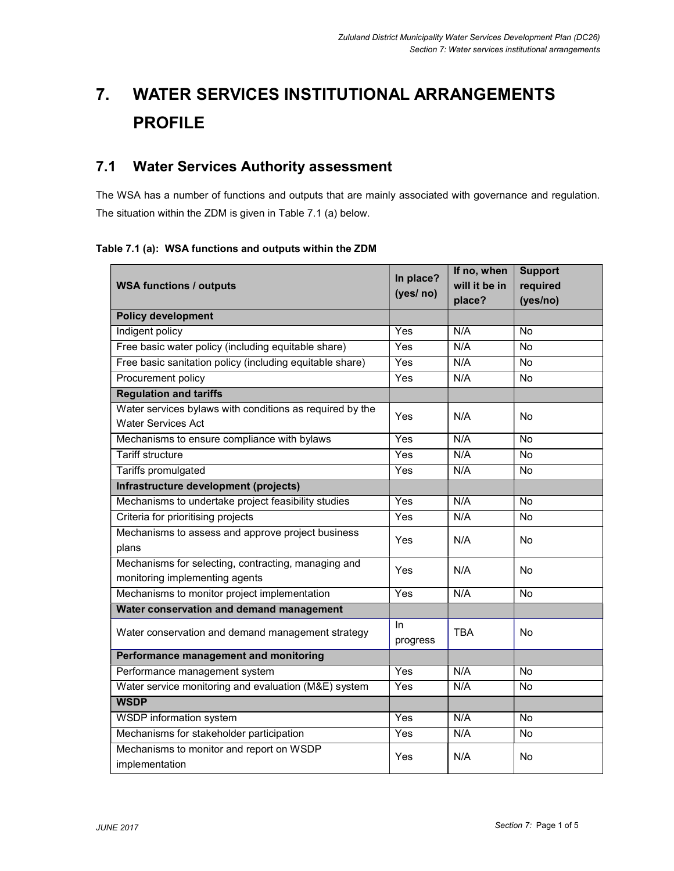# 7. WATER SERVICES INSTITUTIONAL ARRANGEMENTS PROFILE

# 7.1 Water Services Authority assessment

The WSA has a number of functions and outputs that are mainly associated with governance and regulation. The situation within the ZDM is given in Table 7.1 (a) below.

#### Table 7.1 (a): WSA functions and outputs within the ZDM

|                                                          | In place?  | If no, when   | <b>Support</b> |
|----------------------------------------------------------|------------|---------------|----------------|
| <b>WSA functions / outputs</b>                           |            | will it be in | required       |
|                                                          | (yes/ no)  | place?        | (yes/no)       |
| <b>Policy development</b>                                |            |               |                |
| Indigent policy                                          | Yes        | N/A           | No             |
| Free basic water policy (including equitable share)      | Yes        | N/A           | No             |
| Free basic sanitation policy (including equitable share) | Yes        | N/A           | <b>No</b>      |
| Procurement policy                                       | Yes        | N/A           | <b>No</b>      |
| <b>Regulation and tariffs</b>                            |            |               |                |
| Water services bylaws with conditions as required by the | Yes        | N/A           | No             |
| <b>Water Services Act</b>                                |            |               |                |
| Mechanisms to ensure compliance with bylaws              | Yes        | N/A           | $\overline{N}$ |
| <b>Tariff structure</b>                                  | Yes        | N/A           | No             |
| Tariffs promulgated                                      | Yes        | N/A           | <b>No</b>      |
| Infrastructure development (projects)                    |            |               |                |
| Mechanisms to undertake project feasibility studies      | Yes        | N/A           | No             |
| Criteria for prioritising projects                       | Yes        | N/A           | $\overline{N}$ |
| Mechanisms to assess and approve project business        | Yes        | N/A           | <b>No</b>      |
| plans                                                    |            |               |                |
| Mechanisms for selecting, contracting, managing and      | Yes        | N/A           | No             |
| monitoring implementing agents                           |            |               |                |
| Mechanisms to monitor project implementation             | N/A<br>Yes |               | <b>No</b>      |
| Water conservation and demand management                 |            |               |                |
| Water conservation and demand management strategy        | In.        | <b>TBA</b>    | No.            |
|                                                          | progress   |               |                |
| Performance management and monitoring                    |            |               |                |
| Performance management system                            | Yes        | N/A           | <b>No</b>      |
| Water service monitoring and evaluation (M&E) system     | Yes        | N/A           | No             |
| <b>WSDP</b>                                              |            |               |                |
| <b>WSDP</b> information system                           | Yes        | N/A           | No             |
| Mechanisms for stakeholder participation                 | Yes        | N/A           | No             |
| Mechanisms to monitor and report on WSDP                 | Yes        | N/A           | No             |
| implementation                                           |            |               |                |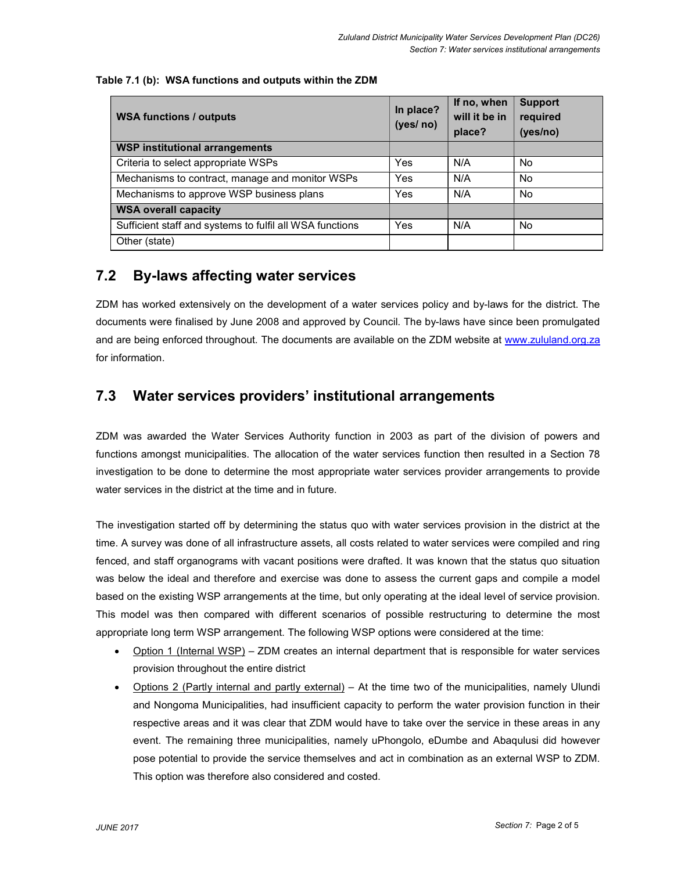#### Table 7.1 (b): WSA functions and outputs within the ZDM

| <b>WSA functions / outputs</b>                           | In place?<br>(yes/ no) | If no, when<br>will it be in<br>place? | <b>Support</b><br>required<br>(yes/no) |
|----------------------------------------------------------|------------------------|----------------------------------------|----------------------------------------|
| <b>WSP institutional arrangements</b>                    |                        |                                        |                                        |
| Criteria to select appropriate WSPs                      | Yes                    | N/A                                    | No                                     |
| Mechanisms to contract, manage and monitor WSPs          | Yes                    | N/A                                    | No.                                    |
| Mechanisms to approve WSP business plans                 | Yes                    | N/A                                    | <b>No</b>                              |
| <b>WSA overall capacity</b>                              |                        |                                        |                                        |
| Sufficient staff and systems to fulfil all WSA functions | Yes                    | N/A                                    | No                                     |
| Other (state)                                            |                        |                                        |                                        |

## 7.2 By-laws affecting water services

ZDM has worked extensively on the development of a water services policy and by-laws for the district. The documents were finalised by June 2008 and approved by Council. The by-laws have since been promulgated and are being enforced throughout. The documents are available on the ZDM website at www.zululand.org.za for information.

### 7.3 Water services providers' institutional arrangements

ZDM was awarded the Water Services Authority function in 2003 as part of the division of powers and functions amongst municipalities. The allocation of the water services function then resulted in a Section 78 investigation to be done to determine the most appropriate water services provider arrangements to provide water services in the district at the time and in future.

The investigation started off by determining the status quo with water services provision in the district at the time. A survey was done of all infrastructure assets, all costs related to water services were compiled and ring fenced, and staff organograms with vacant positions were drafted. It was known that the status quo situation was below the ideal and therefore and exercise was done to assess the current gaps and compile a model based on the existing WSP arrangements at the time, but only operating at the ideal level of service provision. This model was then compared with different scenarios of possible restructuring to determine the most appropriate long term WSP arrangement. The following WSP options were considered at the time:

- Option 1 (Internal WSP) ZDM creates an internal department that is responsible for water services provision throughout the entire district
- Options 2 (Partly internal and partly external) At the time two of the municipalities, namely Ulundi and Nongoma Municipalities, had insufficient capacity to perform the water provision function in their respective areas and it was clear that ZDM would have to take over the service in these areas in any event. The remaining three municipalities, namely uPhongolo, eDumbe and Abaqulusi did however pose potential to provide the service themselves and act in combination as an external WSP to ZDM. This option was therefore also considered and costed.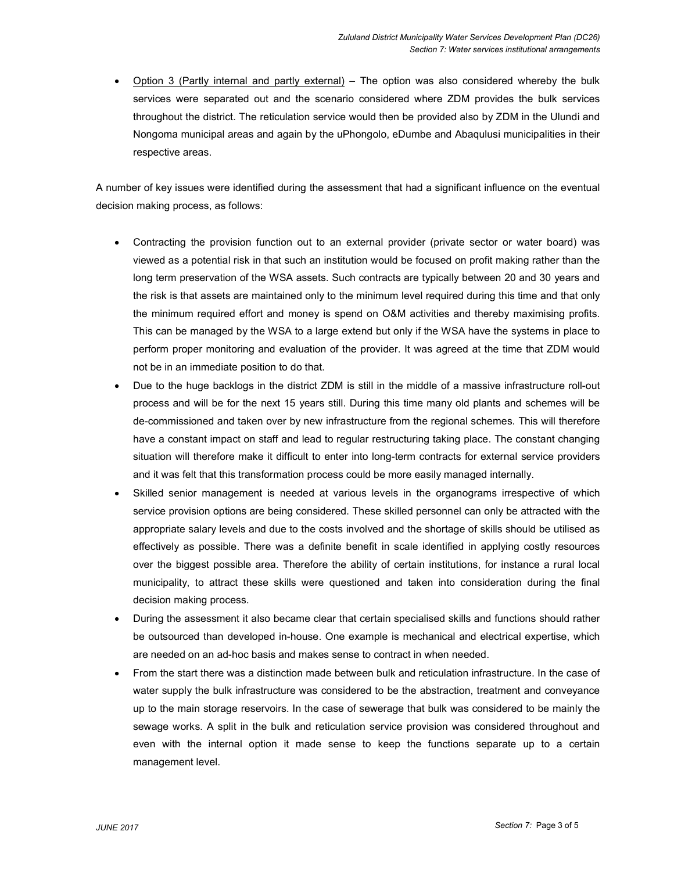Option 3 (Partly internal and partly external) – The option was also considered whereby the bulk services were separated out and the scenario considered where ZDM provides the bulk services throughout the district. The reticulation service would then be provided also by ZDM in the Ulundi and Nongoma municipal areas and again by the uPhongolo, eDumbe and Abaqulusi municipalities in their respective areas.

A number of key issues were identified during the assessment that had a significant influence on the eventual decision making process, as follows:

- Contracting the provision function out to an external provider (private sector or water board) was viewed as a potential risk in that such an institution would be focused on profit making rather than the long term preservation of the WSA assets. Such contracts are typically between 20 and 30 years and the risk is that assets are maintained only to the minimum level required during this time and that only the minimum required effort and money is spend on O&M activities and thereby maximising profits. This can be managed by the WSA to a large extend but only if the WSA have the systems in place to perform proper monitoring and evaluation of the provider. It was agreed at the time that ZDM would not be in an immediate position to do that.
- Due to the huge backlogs in the district ZDM is still in the middle of a massive infrastructure roll-out process and will be for the next 15 years still. During this time many old plants and schemes will be de-commissioned and taken over by new infrastructure from the regional schemes. This will therefore have a constant impact on staff and lead to regular restructuring taking place. The constant changing situation will therefore make it difficult to enter into long-term contracts for external service providers and it was felt that this transformation process could be more easily managed internally.
- Skilled senior management is needed at various levels in the organograms irrespective of which service provision options are being considered. These skilled personnel can only be attracted with the appropriate salary levels and due to the costs involved and the shortage of skills should be utilised as effectively as possible. There was a definite benefit in scale identified in applying costly resources over the biggest possible area. Therefore the ability of certain institutions, for instance a rural local municipality, to attract these skills were questioned and taken into consideration during the final decision making process.
- During the assessment it also became clear that certain specialised skills and functions should rather be outsourced than developed in-house. One example is mechanical and electrical expertise, which are needed on an ad-hoc basis and makes sense to contract in when needed.
- From the start there was a distinction made between bulk and reticulation infrastructure. In the case of water supply the bulk infrastructure was considered to be the abstraction, treatment and conveyance up to the main storage reservoirs. In the case of sewerage that bulk was considered to be mainly the sewage works. A split in the bulk and reticulation service provision was considered throughout and even with the internal option it made sense to keep the functions separate up to a certain management level.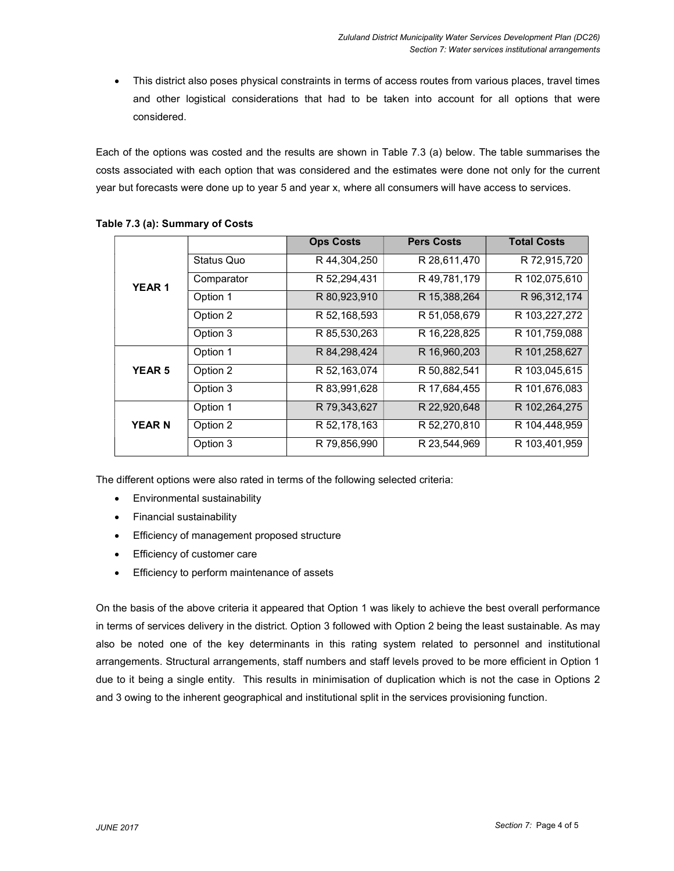This district also poses physical constraints in terms of access routes from various places, travel times and other logistical considerations that had to be taken into account for all options that were considered.

Each of the options was costed and the results are shown in Table 7.3 (a) below. The table summarises the costs associated with each option that was considered and the estimates were done not only for the current year but forecasts were done up to year 5 and year x, where all consumers will have access to services.

| <b>YEAR1</b>  |            | <b>Ops Costs</b> | <b>Pers Costs</b> | <b>Total Costs</b> |
|---------------|------------|------------------|-------------------|--------------------|
|               | Status Quo | R 44,304,250     | R 28,611,470      | R 72,915,720       |
|               | Comparator | R 52,294,431     | R 49,781,179      | R 102,075,610      |
|               | Option 1   | R 80,923,910     | R 15,388,264      | R 96, 312, 174     |
|               | Option 2   | R 52,168,593     | R 51,058,679      | R 103,227,272      |
|               | Option 3   | R 85,530,263     | R 16,228,825      | R 101,759,088      |
| <b>YEAR 5</b> | Option 1   | R 84, 298, 424   | R 16,960,203      | R 101,258,627      |
|               | Option 2   | R 52,163,074     | R 50,882,541      | R 103,045,615      |
|               | Option 3   | R 83,991,628     | R 17,684,455      | R 101,676,083      |
| <b>YEAR N</b> | Option 1   | R 79,343,627     | R 22,920,648      | R 102,264,275      |
|               | Option 2   | R 52,178,163     | R 52,270,810      | R 104,448,959      |
|               | Option 3   | R 79,856,990     | R 23,544,969      | R 103,401,959      |

#### Table 7.3 (a): Summary of Costs

The different options were also rated in terms of the following selected criteria:

- Environmental sustainability
- Financial sustainability
- Efficiency of management proposed structure
- **Efficiency of customer care**
- Efficiency to perform maintenance of assets

On the basis of the above criteria it appeared that Option 1 was likely to achieve the best overall performance in terms of services delivery in the district. Option 3 followed with Option 2 being the least sustainable. As may also be noted one of the key determinants in this rating system related to personnel and institutional arrangements. Structural arrangements, staff numbers and staff levels proved to be more efficient in Option 1 due to it being a single entity. This results in minimisation of duplication which is not the case in Options 2 and 3 owing to the inherent geographical and institutional split in the services provisioning function.